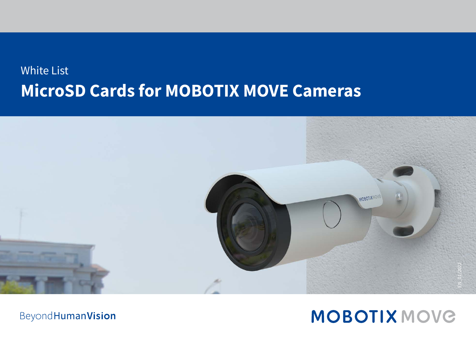## White List **MicroSD Cards for MOBOTIX MOVE Cameras**



**Beyond Human Vision** 

## **MOBOTIX MOVE**